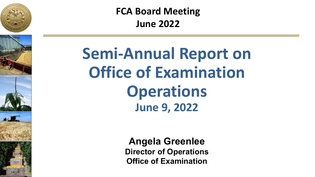







**FCA Board Meeting June 2022**

**Semi-Annual Report on Office of Examination Operations June 9, 2022**

> **Angela Greenlee Director of Operations Office of Examination**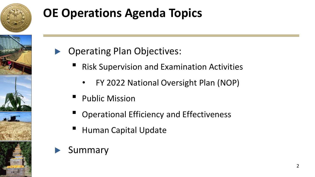

## **OE Operations Agenda Topics**



- ▶ Operating Plan Objectives:
	- **Risk Supervision and Examination Activities** 
		- FY 2022 National Oversight Plan (NOP)
	- Public Mission
	- Operational Efficiency and Effectiveness
	- **Human Capital Update**
- **Summary**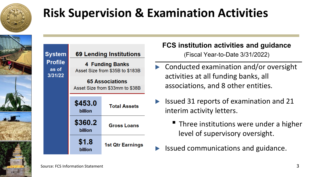

#### **Risk Supervision & Examination Activities**

| <b>System</b>                      | <b>69 Lending Institutions</b>                            |                         |  |
|------------------------------------|-----------------------------------------------------------|-------------------------|--|
| <b>Profile</b><br>as of<br>3/31/22 | <b>4 Funding Banks</b><br>Asset Size from \$35B to \$183B |                         |  |
|                                    | <b>65 Associations</b><br>Asset Size from \$33mm to \$38B |                         |  |
|                                    | \$453.0<br>billion                                        | <b>Total Assets</b>     |  |
|                                    | \$360.2<br>billion                                        | <b>Gross Loans</b>      |  |
|                                    | \$1.8<br>billion                                          | <b>1st Qtr Earnings</b> |  |

**FCS institution activities and guidance** (Fiscal Year-to-Date 3/31/2022)

- ▶ Conducted examination and/or oversight activities at all funding banks, all associations, and 8 other entities.
- ▶ Issued 31 reports of examination and 21 interim activity letters.
	- Three institutions were under a higher level of supervisory oversight.
	- ▶ Issued communications and guidance.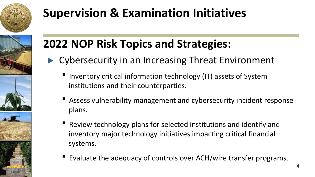

#### **Supervision & Examination Initiatives**



#### **2022 NOP Risk Topics and Strategies:**

- ▶ Cybersecurity in an Increasing Threat Environment
	- Inventory critical information technology (IT) assets of System institutions and their counterparties.
	- Assess vulnerability management and cybersecurity incident response plans.
	- Review technology plans for selected institutions and identify and inventory major technology initiatives impacting critical financial systems.
	- Evaluate the adequacy of controls over ACH/wire transfer programs.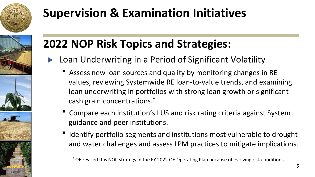

## **Supervision & Examination Initiatives**

# **2022 NOP Risk Topics and Strategies:**

- Loan Underwriting in a Period of Significant Volatility
	- Assess new loan sources and quality by monitoring changes in RE values, reviewing Systemwide RE loan-to-value trends, and examining loan underwriting in portfolios with strong loan growth or significant cash grain concentrations.\*
	- Compare each institution's LUS and risk rating criteria against System guidance and peer institutions.
	- Identify portfolio segments and institutions most vulnerable to drought and water challenges and assess LPM practices to mitigate implications.

\* OE revised this NOP strategy in the FY 2022 OE Operating Plan because of evolving risk conditions.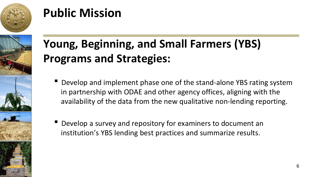

#### **Public Mission**



#### **Young, Beginning, and Small Farmers (YBS) Programs and Strategies:**

- **Develop and implement phase one of the stand-alone YBS rating system** in partnership with ODAE and other agency offices, aligning with the availability of the data from the new qualitative non-lending reporting.
- Develop a survey and repository for examiners to document an institution's YBS lending best practices and summarize results.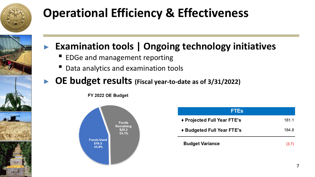

# **Operational Efficiency & Effectiveness**



#### ▶ **Examination tools | Ongoing technology initiatives**

- EDGe and management reporting
- Data analytics and examination tools
- ▶ **OE budget results (Fiscal year-to-date as of 3/31/2022)**

FY 2022 OE Budget



| <b>FTES</b>                 |       |
|-----------------------------|-------|
| ◆ Projected Full Year FTE's | 181.1 |
| ◆ Budgeted Full Year FTE's  | 184.8 |
| <b>Budget Variance</b>      | (3.7) |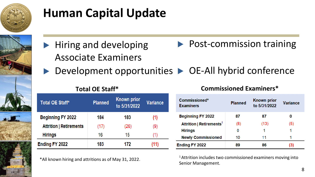

## **Human Capital Update**

- ▶ Hiring and developing Associate Examiners ▶ Post-commission training
- ▶ Development opportunities ▶ OE-All hybrid conference

| Total OE Staff*                | <b>Planned</b> | <b>Known prior</b><br>to 5/31/2022 | <b>Variance</b> |
|--------------------------------|----------------|------------------------------------|-----------------|
| <b>Beginning FY 2022</b>       | 184            | 183                                | (1)             |
| <b>Attrition   Retirements</b> | (17)           | (26)                               | (9)             |
| <b>Hirings</b>                 | 16             | 15                                 | (1)             |
| Ending FY 2022                 | 183            | 172                                | (11)            |

All known hiring and attritions as of May 31, 2022.<br>Senior Management.

#### **Total OE Staff\* Commissioned Examiners\***

| Commissioned*<br><b>Examiners</b>    | <b>Planned</b> | <b>Known prior</b><br>to 5/31/2022 | <b>Variance</b> |
|--------------------------------------|----------------|------------------------------------|-----------------|
| <b>Beginning FY 2022</b>             | 87             | 87                                 | 0               |
| Attrition   Retirements <sup>1</sup> | (8)            | (13)                               | (5)             |
| <b>Hirings</b>                       | o              |                                    |                 |
| <b>Newly Commissioned</b>            | 10             | 11                                 |                 |
| Ending FY 2022                       | 89             | 86                                 | (3)             |

1 Attrition includes two commissioned examiners moving into